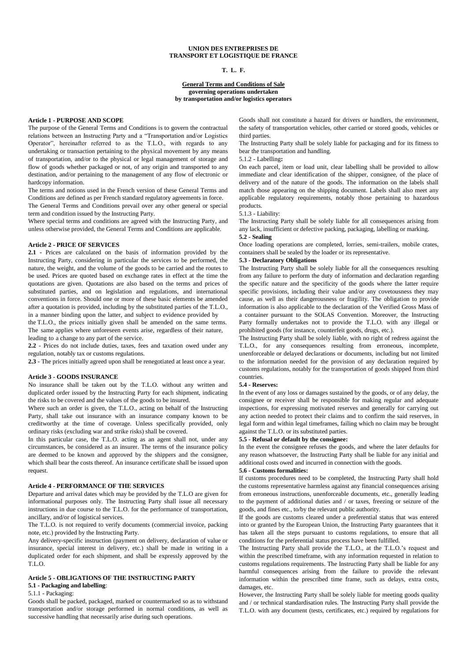### **UNION DES ENTREPRISES DE TRANSPORT ET LOGISTIQUE DE FRANCE**

#### **T. L. F.**

#### **General Terms and Conditions of Sale governing operations undertaken by transportation and/or logistics operators**

## **Article 1 - PURPOSE AND SCOPE**

The purpose of the General Terms and Conditions is to govern the contractual relations between an Instructing Party and a "Transportation and/or Logistics Operator", hereinafter referred to as the T.L.O., with regards to any undertaking or transaction pertaining to the physical movement by any means of transportation, and/or to the physical or legal management of storage and flow of goods whether packaged or not, of any origin and transported to any destination, and/or pertaining to the management of any flow of electronic or hardcopy information.

The terms and notions used in the French version of these General Terms and Conditions are defined as per French standard regulatory agreements in force.

The General Terms and Conditions prevail over any other general or special term and condition issued by the Instructing Party.

Where special terms and conditions are agreed with the Instructing Party, and unless otherwise provided, the General Terms and Conditions are applicable.

### **Article 2 - PRICE OF SERVICES**

**2.1 -** Prices are calculated on the basis of information provided by the Instructing Party, considering in particular the services to be performed, the nature, the weight, and the volume of the goods to be carried and the routes to be used. Prices are quoted based on exchange rates in effect at the time the quotations are given. Quotations are also based on the terms and prices of substituted parties, and on legislation and regulations, and international conventions in force. Should one or more of these basic elements be amended after a quotation is provided, including by the substituted parties of the T.L.O., in a manner binding upon the latter, and subject to evidence provided by

the T.L.O., the prices initially given shall be amended on the same terms. The same applies where unforeseen events arise, regardless of their nature, leading to a change to any part of the service.

**2.2** - Prices do not include duties, taxes, fees and taxation owed under any regulation, notably tax or customs regulations.

**2.3** - The prices initially agreed upon shall be renegotiated at least once a year.

### **Article 3 - GOODS INSURANCE**

No insurance shall be taken out by the T.L.O. without any written and duplicated order issued by the Instructing Party for each shipment, indicating the risks to be covered and the values of the goods to be insured.

Where such an order is given, the T.L.O., acting on behalf of the Instructing Party, shall take out insurance with an insurance company known to be creditworthy at the time of coverage. Unless specifically provided, only ordinary risks (excluding war and strike risks) shall be covered.

In this particular case, the T.L.O. acting as an agent shall not, under any circumstances, be considered as an insurer. The terms of the insurance policy are deemed to be known and approved by the shippers and the consignee, which shall bear the costs thereof. An insurance certificate shall be issued upon request.

#### **Article 4 - PERFORMANCE OF THE SERVICES**

Departure and arrival dates which may be provided by the T.L.O are given for informational purposes only. The Instructing Party shall issue all necessary instructions in due course to the T.L.O. for the performance of transportation, ancillary, and/or of logistical services.

The T.L.O. is not required to verify documents (commercial invoice, packing note, etc.) provided by the Instructing Party.

Any delivery-specific instruction (payment on delivery, declaration of value or insurance, special interest in delivery, etc.) shall be made in writing in a duplicated order for each shipment, and shall be expressly approved by the T.L.O.

# **Article 5 - OBLIGATIONS OF THE INSTRUCTING PARTY**

# **5.1 - Packaging and labelling**:

5.1.1 - Packaging:

Goods shall be packed, packaged, marked or countermarked so as to withstand transportation and/or storage performed in normal conditions, as well as successive handling that necessarily arise during such operations.

Goods shall not constitute a hazard for drivers or handlers, the environment, the safety of transportation vehicles, other carried or stored goods, vehicles or third parties.

The Instructing Party shall be solely liable for packaging and for its fitness to bear the transportation and handling.

5.1.2 - Labelling**:** 

On each parcel, item or load unit, clear labelling shall be provided to allow immediate and clear identification of the shipper, consignee, of the place of delivery and of the nature of the goods. The information on the labels shall match those appearing on the shipping document. Labels shall also meet any applicable regulatory requirements, notably those pertaining to hazardous products.

#### 5.1.3 - Liability:

The Instructing Party shall be solely liable for all consequences arising from any lack, insufficient or defective packing, packaging, labelling or marking. **5.2 - Sealing** 

Once loading operations are completed, lorries, semi-trailers, mobile crates, containers shall be sealed by the loader or its representative.

### **5.3 - Declaratory Obligations**

The Instructing Party shall be solely liable for all the consequences resulting from any failure to perform the duty of information and declaration regarding the specific nature and the specificity of the goods where the latter require specific provisions, including their value and/or any covetousness they may cause, as well as their dangerousness or fragility. The obligation to provide information is also applicable to the declaration of the Verified Gross Mass of a container pursuant to the SOLAS Convention. Moreover, the Instructing Party formally undertakes not to provide the T.L.O. with any illegal or prohibited goods (for instance, counterfeit goods, drugs, etc.).

The Instructing Party shall be solely liable, with no right of redress against the T.L.O., for any consequences resulting from erroneous, incomplete, unenforceable or delayed declarations or documents, including but not limited to the information needed for the provision of any declaration required by customs regulations, notably for the transportation of goods shipped from third countries.

### **5.4 - Reserves:**

In the event of any loss or damages sustained by the goods, or of any delay, the consignee or receiver shall be responsible for making regular and adequate inspections, for expressing motivated reserves and generally for carrying out any action needed to protect their claims and to confirm the said reserves, in legal form and within legal timeframes, failing which no claim may be brought against the T.L.O. or its substituted parties.

#### **5.5 - Refusal or default by the consignee:**

In the event the consignee refuses the goods, and where the later defaults for any reason whatsoever, the Instructing Party shall be liable for any initial and additional costs owed and incurred in connection with the goods.

#### **5.6 - Customs formalities:**

If customs procedures need to be completed, the Instructing Party shall hold the customs representative harmless against any financial consequences arising from erroneous instructions, unenforceable documents, etc., generally leading to the payment of additional duties and / or taxes, freezing or seizure of the goods, and fines etc., to/by the relevant public authority.

If the goods are customs cleared under a preferential status that was entered into or granted by the European Union, the Instructing Party guarantees that it has taken all the steps pursuant to customs regulations, to ensure that all conditions for the preferential status process have been fulfilled.

The Instructing Party shall provide the T.L.O., at the T.L.O.'s request and within the prescribed timeframe, with any information requested in relation to customs regulations requirements. The Instructing Party shall be liable for any harmful consequences arising from the failure to provide the relevant information within the prescribed time frame, such as delays, extra costs, damages, etc.

However, the Instructing Party shall be solely liable for meeting goods quality and / or technical standardisation rules. The Instructing Party shall provide the T.L.O. with any document (tests, certificates, etc.) required by regulations for